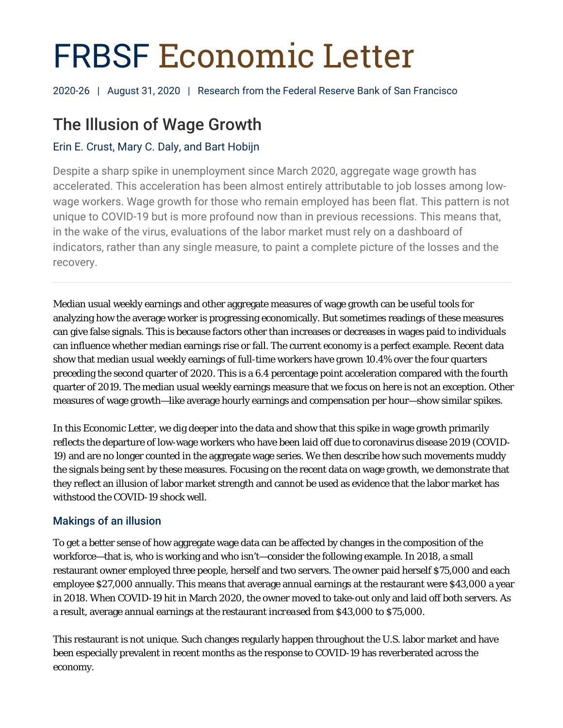# FRBSF Economic Letter

2020-26 | August 31, 2020 | Research from the Federal Reserve Bank of San Francisco

# The Illusion of Wage Growth

# Erin E. Crust, Mary C. Daly, and Bart Hobijn

Despite a sharp spike in unemployment since March 2020, aggregate wage growth has accelerated. This acceleration has been almost entirely attributable to job losses among lowwage workers. Wage growth for those who remain employed has been flat. This pattern is not unique to COVID-19 but is more profound now than in previous recessions. This means that, in the wake of the virus, evaluations of the labor market must rely on a dashboard of indicators, rather than any single measure, to paint a complete picture of the losses and the recovery.

Median usual weekly earnings and other aggregate measures of wage growth can be useful tools for analyzing how the average worker is progressing economically. But sometimes readings of these measures can give false signals. This is because factors other than increases or decreases in wages paid to individuals can influence whether median earnings rise or fall. The current economy is a perfect example. Recent data show that median usual weekly earnings of full-time workers have grown 10.4% over the four quarters preceding the second quarter of 2020. This is a 6.4 percentage point acceleration compared with the fourth quarter of 2019. The median usual weekly earnings measure that we focus on here is not an exception. Other measures of wage growth—like average hourly earnings and compensation per hour—show similar spikes.

In this *Economic Letter*, we dig deeper into the data and show that this spike in wage growth primarily reflects the departure of low-wage workers who have been laid off due to coronavirus disease 2019 (COVID-19) and are no longer counted in the aggregate wage series. We then describe how such movements muddy the signals being sent by these measures. Focusing on the recent data on wage growth, we demonstrate that they reflect an illusion of labor market strength and cannot be used as evidence that the labor market has withstood the COVID-19 shock well.

# Makings of an illusion

To get a better sense of how aggregate wage data can be affected by changes in the composition of the workforce—that is, who is working and who isn't—consider the following example. In 2018, a small restaurant owner employed three people, herself and two servers. The owner paid herself \$75,000 and each employee \$27,000 annually. This means that average annual earnings at the restaurant were \$43,000 a year in 2018. When COVID-19 hit in March 2020, the owner moved to take-out only and laid off both servers. As a result, average annual earnings at the restaurant *increased* from \$43,000 to \$75,000.

This restaurant is not unique. Such changes regularly happen throughout the U.S. labor market and have been especially prevalent in recent months as the response to COVID-19 has reverberated across the economy.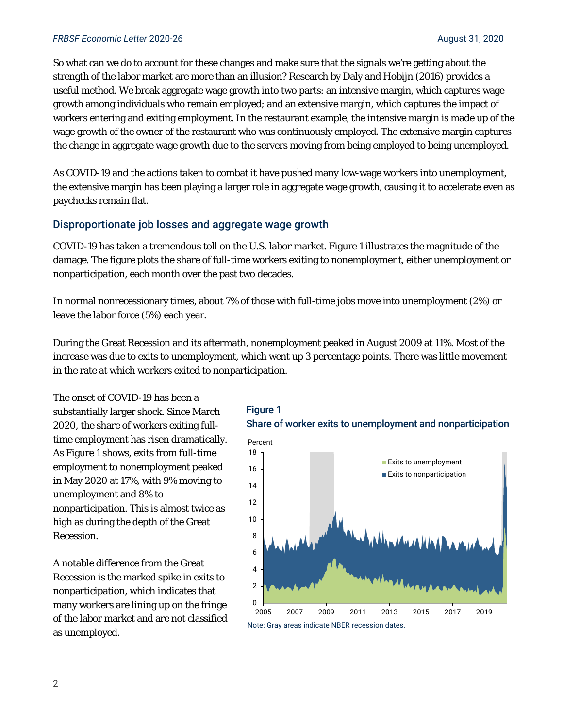#### *FRBSF Economic Letter* 2020-26 August 31, 2020

So what can we do to account for these changes and make sure that the signals we're getting about the strength of the labor market are more than an illusion? Research by Daly and Hobijn (2016) provides a useful method. We break aggregate wage growth into two parts: an *intensive* margin, which captures wage growth among individuals who remain employed; and an *extensive* margin, which captures the impact of workers entering and exiting employment. In the restaurant example, the intensive margin is made up of the wage growth of the owner of the restaurant who was continuously employed. The extensive margin captures the change in aggregate wage growth due to the servers moving from being employed to being unemployed.

As COVID-19 and the actions taken to combat it have pushed many low-wage workers into unemployment, the extensive margin has been playing a larger role in aggregate wage growth, causing it to accelerate even as paychecks remain flat.

#### Disproportionate job losses and aggregate wage growth

COVID-19 has taken a tremendous toll on the U.S. labor market. Figure 1 illustrates the magnitude of the damage. The figure plots the share of full-time workers exiting to nonemployment, either unemployment or nonparticipation, each month over the past two decades.

In normal nonrecessionary times, about 7% of those with full-time jobs move into unemployment (2%) or leave the labor force (5%) each year.

During the Great Recession and its aftermath, nonemployment peaked in August 2009 at 11%. Most of the increase was due to exits to unemployment, which went up 3 percentage points. There was little movement in the rate at which workers exited to nonparticipation.

The onset of COVID-19 has been a substantially larger shock. Since March 2020, the share of workers exiting fulltime employment has risen dramatically. As Figure 1 shows, exits from full-time employment to nonemployment peaked in May 2020 at 17%, with 9% moving to unemployment and 8% to nonparticipation. This is almost twice as high as during the depth of the Great Recession.

A notable difference from the Great Recession is the marked spike in exits to nonparticipation, which indicates that many workers are lining up on the fringe of the labor market and are not classified as unemployed.

### Figure 1 Share of worker exits to unemployment and nonparticipation

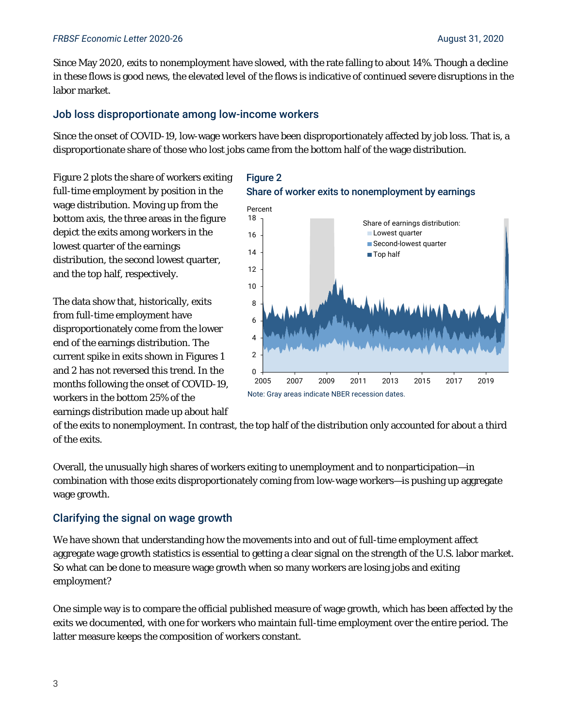#### *FRBSF Economic Letter* 2020-26 August 31, 2020

Since May 2020, exits to nonemployment have slowed, with the rate falling to about 14%. Though a decline in these flows is good news, the elevated level of the flows is indicative of continued severe disruptions in the labor market.

#### Job loss disproportionate among low-income workers

Since the onset of COVID-19, low-wage workers have been disproportionately affected by job loss. That is, a disproportionate share of those who lost jobs came from the bottom half of the wage distribution.

Figure 2 plots the share of workers exiting full-time employment by position in the wage distribution. Moving up from the bottom axis, the three areas in the figure depict the exits among workers in the lowest quarter of the earnings distribution, the second lowest quarter, and the top half, respectively.

The data show that, historically, exits from full-time employment have disproportionately come from the lower end of the earnings distribution. The current spike in exits shown in Figures 1 and 2 has not reversed this trend. In the months following the onset of COVID-19, workers in the bottom 25% of the earnings distribution made up about half

#### Figure 2 Share of worker exits to nonemployment by earnings



of the exits to nonemployment. In contrast, the top half of the distribution only accounted for about a third of the exits.

Overall, the unusually high shares of workers exiting to unemployment and to nonparticipation—in combination with those exits disproportionately coming from low-wage workers—is pushing up aggregate wage growth.

#### Clarifying the signal on wage growth

We have shown that understanding how the movements into and out of full-time employment affect aggregate wage growth statistics is essential to getting a clear signal on the strength of the U.S. labor market. So what can be done to measure wage growth when so many workers are losing jobs and exiting employment?

One simple way is to compare the official published measure of wage growth, which has been affected by the exits we documented, with one for workers who maintain full-time employment over the entire period. The latter measure keeps the composition of workers constant.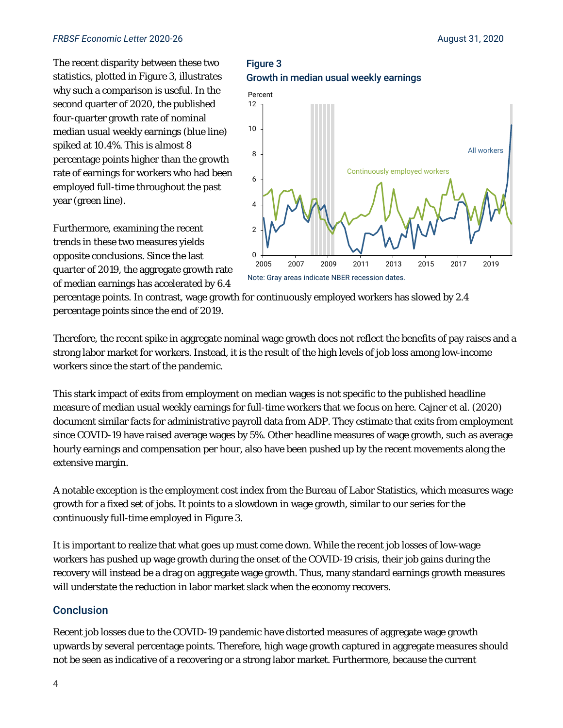#### **FRBSF** Economic Letter 2020-26 **August 31, 2020** August 31, 2020

The recent disparity between these two statistics, plotted in Figure 3, illustrates why such a comparison is useful. In the second quarter of 2020, the published four-quarter growth rate of nominal median usual weekly earnings (blue line) spiked at 10.4%. This is almost 8 percentage points higher than the growth rate of earnings for workers who had been employed full-time throughout the past year (green line).

Furthermore, examining the recent trends in these two measures yields opposite conclusions. Since the last quarter of 2019, the aggregate growth rate of median earnings has accelerated by 6.4 Figure 3 Growth in median usual weekly earnings



percentage points. In contrast, wage growth for continuously employed workers has slowed by 2.4 percentage points since the end of 2019.

Therefore, the recent spike in aggregate nominal wage growth does not reflect the benefits of pay raises and a strong labor market for workers. Instead, it is the result of the high levels of job loss among low-income workers since the start of the pandemic.

This stark impact of exits from employment on median wages is not specific to the published headline measure of median usual weekly earnings for full-time workers that we focus on here. Cajner et al. (2020) document similar facts for administrative payroll data from ADP. They estimate that exits from employment since COVID-19 have raised average wages by 5%. Other headline measures of wage growth, such as average hourly earnings and compensation per hour, also have been pushed up by the recent movements along the extensive margin.

A notable exception is the employment cost index from the Bureau of Labor Statistics, which measures wage growth for a fixed set of jobs. It points to a slowdown in wage growth, similar to our series for the continuously full-time employed in Figure 3.

It is important to realize that what goes up must come down. While the recent job losses of low-wage workers has pushed up wage growth during the onset of the COVID-19 crisis, their job gains during the recovery will instead be a drag on aggregate wage growth. Thus, many standard earnings growth measures will understate the reduction in labor market slack when the economy recovers.

#### **Conclusion**

Recent job losses due to the COVID-19 pandemic have distorted measures of aggregate wage growth upwards by several percentage points. Therefore, high wage growth captured in aggregate measures should not be seen as indicative of a recovering or a strong labor market. Furthermore, because the current